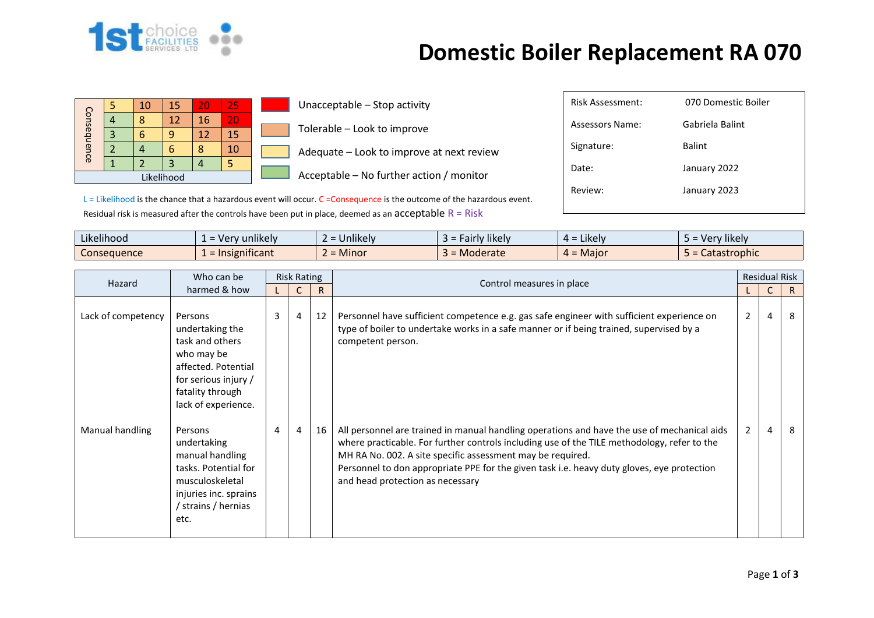

## **Domestic Boiler Replacement RA 070**

| Consequence |  | 10 | 15 | 20 | 25 |  |  |  |  |
|-------------|--|----|----|----|----|--|--|--|--|
|             |  | ጸ  | 12 | 16 | 20 |  |  |  |  |
|             |  |    |    | 12 | 15 |  |  |  |  |
|             |  |    |    |    | 10 |  |  |  |  |
|             |  |    |    |    |    |  |  |  |  |
| Likelihood  |  |    |    |    |    |  |  |  |  |

Unacceptable – Stop activity Tolerable – Look to improve

Adequate – Look to improve at next review

Acceptable – No further action / monitor

| <b>Risk Assessment:</b> | 070 Domestic Boiler |
|-------------------------|---------------------|
| Assessors Name:         | Gabriela Balint     |
| Signature:              | <b>Balint</b>       |
| Date:                   | January 2022        |
| Review:                 | January 2023        |
|                         |                     |
|                         |                     |

L = Likelihood is the chance that a hazardous event will occur. C = Consequence is the outcome of the hazardous event. Residual risk is measured after the controls have been put in place, deemed as an  $acceptable R = Risk$ 

| $\cdots$<br>$\cdots$<br>Likelihood | $\blacksquare$<br>unlikely<br>$- Ver$<br>-- | $\cdots$<br><b>Jnlikely</b> | <b><i>Fairly likely</i></b><br>-35 | .<br>$=$ Likely<br>≖ ∸ | .<br>Very likely    |
|------------------------------------|---------------------------------------------|-----------------------------|------------------------------------|------------------------|---------------------|
| Consequence                        | nsignificant<br>$=$ Ir                      | <b>Minor</b>                | Moderate                           | $=$ Major<br>$\mu =$   | <b>Catastrophic</b> |

| Hazard             | Who can be                                                                                                                                            |   | <b>Risk Rating</b> |    |                                                                                                                                                                                                                                                                                                                                                                                            |   | <b>Residual Risk</b> |    |
|--------------------|-------------------------------------------------------------------------------------------------------------------------------------------------------|---|--------------------|----|--------------------------------------------------------------------------------------------------------------------------------------------------------------------------------------------------------------------------------------------------------------------------------------------------------------------------------------------------------------------------------------------|---|----------------------|----|
|                    | harmed & how                                                                                                                                          |   |                    | R  | Control measures in place                                                                                                                                                                                                                                                                                                                                                                  |   |                      | R. |
| Lack of competency | Persons<br>undertaking the<br>task and others<br>who may be<br>affected. Potential<br>for serious injury /<br>fatality through<br>lack of experience. | 3 | 4                  | 12 | Personnel have sufficient competence e.g. gas safe engineer with sufficient experience on<br>type of boiler to undertake works in a safe manner or if being trained, supervised by a<br>competent person.                                                                                                                                                                                  | 2 | $\overline{4}$       | 8  |
| Manual handling    | Persons<br>undertaking<br>manual handling<br>tasks. Potential for<br>musculoskeletal<br>injuries inc. sprains<br>strains / hernias<br>etc.            | 4 | 4                  | 16 | All personnel are trained in manual handling operations and have the use of mechanical aids<br>where practicable. For further controls including use of the TILE methodology, refer to the<br>MH RA No. 002. A site specific assessment may be required.<br>Personnel to don appropriate PPE for the given task i.e. heavy duty gloves, eye protection<br>and head protection as necessary | 2 | $\overline{4}$       | 8  |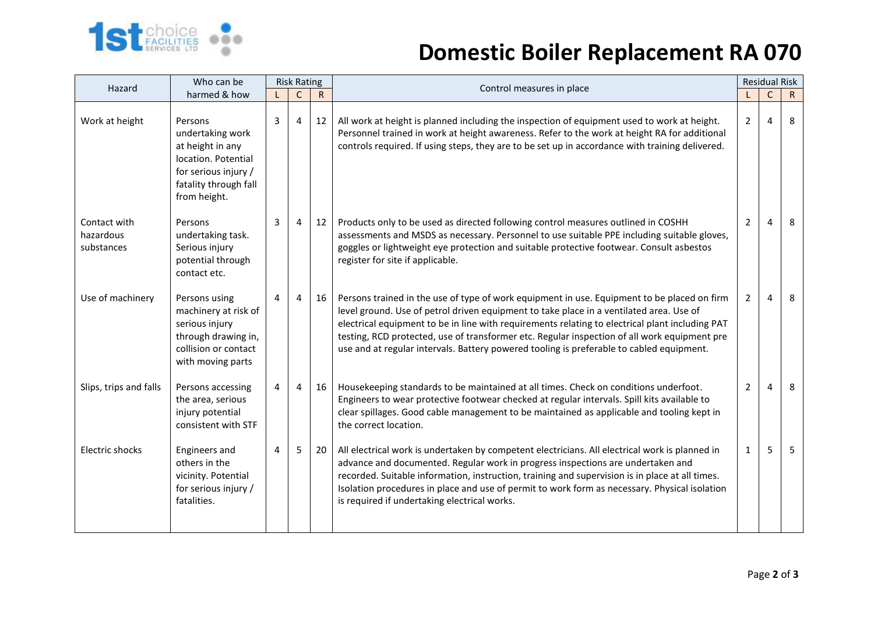

## **Domestic Boiler Replacement RA 070**

| Hazard                                  | Who can be                                                                                                                              | <b>Risk Rating</b> |                |              |                                                                                                                                                                                                                                                                                                                                                                                                                                                                                       |                | <b>Residual Risk</b> |              |
|-----------------------------------------|-----------------------------------------------------------------------------------------------------------------------------------------|--------------------|----------------|--------------|---------------------------------------------------------------------------------------------------------------------------------------------------------------------------------------------------------------------------------------------------------------------------------------------------------------------------------------------------------------------------------------------------------------------------------------------------------------------------------------|----------------|----------------------|--------------|
|                                         | harmed & how                                                                                                                            |                    | $\mathsf{C}$   | $\mathsf{R}$ | Control measures in place                                                                                                                                                                                                                                                                                                                                                                                                                                                             |                | C                    | $\mathsf{R}$ |
| Work at height                          | Persons<br>undertaking work<br>at height in any<br>location. Potential<br>for serious injury /<br>fatality through fall<br>from height. | 3                  | $\overline{4}$ | 12           | All work at height is planned including the inspection of equipment used to work at height.<br>Personnel trained in work at height awareness. Refer to the work at height RA for additional<br>controls required. If using steps, they are to be set up in accordance with training delivered.                                                                                                                                                                                        | $\overline{2}$ | 4                    | 8            |
| Contact with<br>hazardous<br>substances | Persons<br>undertaking task.<br>Serious injury<br>potential through<br>contact etc.                                                     | 3                  | $\overline{4}$ | 12           | Products only to be used as directed following control measures outlined in COSHH<br>assessments and MSDS as necessary. Personnel to use suitable PPE including suitable gloves,<br>goggles or lightweight eye protection and suitable protective footwear. Consult asbestos<br>register for site if applicable.                                                                                                                                                                      | $\overline{2}$ | 4                    | 8            |
| Use of machinery                        | Persons using<br>machinery at risk of<br>serious injury<br>through drawing in,<br>collision or contact<br>with moving parts             | 4                  | $\overline{4}$ | 16           | Persons trained in the use of type of work equipment in use. Equipment to be placed on firm<br>level ground. Use of petrol driven equipment to take place in a ventilated area. Use of<br>electrical equipment to be in line with requirements relating to electrical plant including PAT<br>testing, RCD protected, use of transformer etc. Regular inspection of all work equipment pre<br>use and at regular intervals. Battery powered tooling is preferable to cabled equipment. | $\overline{2}$ | 4                    | 8            |
| Slips, trips and falls                  | Persons accessing<br>the area, serious<br>injury potential<br>consistent with STF                                                       | 4                  | $\overline{4}$ | 16           | Housekeeping standards to be maintained at all times. Check on conditions underfoot.<br>Engineers to wear protective footwear checked at regular intervals. Spill kits available to<br>clear spillages. Good cable management to be maintained as applicable and tooling kept in<br>the correct location.                                                                                                                                                                             | $\overline{2}$ | 4                    | 8            |
| Electric shocks                         | Engineers and<br>others in the<br>vicinity. Potential<br>for serious injury /<br>fatalities.                                            | 4                  | 5              | 20           | All electrical work is undertaken by competent electricians. All electrical work is planned in<br>advance and documented. Regular work in progress inspections are undertaken and<br>recorded. Suitable information, instruction, training and supervision is in place at all times.<br>Isolation procedures in place and use of permit to work form as necessary. Physical isolation<br>is required if undertaking electrical works.                                                 | 1              | 5                    | 5            |